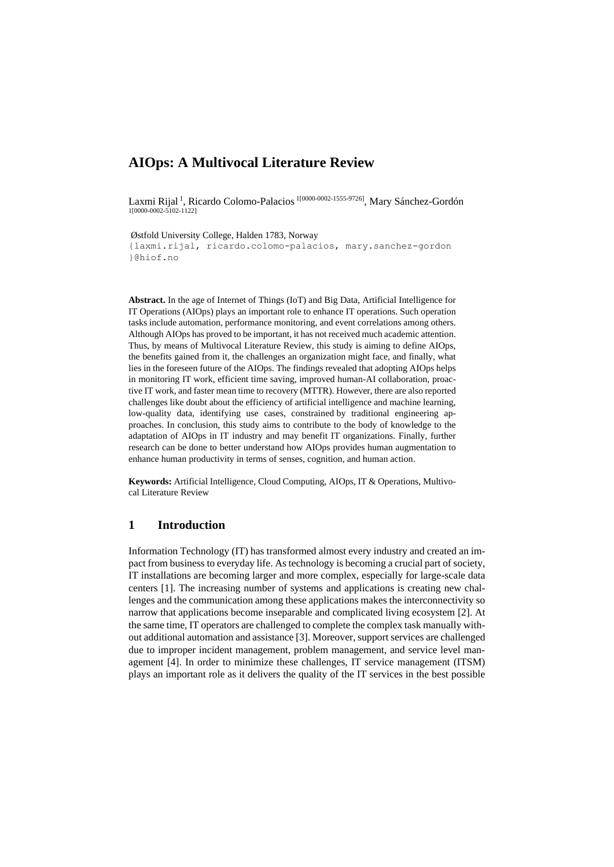# **AIOps: A Multivocal Literature Review**

Laxmi Rijal<sup>1</sup>, Ricardo Colomo-Palacios <sup>1[0000-0002-1555-9726]</sup>, Mary Sánchez-Gordón 1[0000-0002-5102-1122]

Østfold University College, Halden 1783, Norway {laxmi.rijal, ricardo.colomo-palacios, mary.sanchez-gordon }@hiof.no

**Abstract.** In the age of Internet of Things (IoT) and Big Data, Artificial Intelligence for IT Operations (AIOps) plays an important role to enhance IT operations. Such operation tasks include automation, performance monitoring, and event correlations among others. Although AIOps has proved to be important, it has not received much academic attention. Thus, by means of Multivocal Literature Review, this study is aiming to define AIOps, the benefits gained from it, the challenges an organization might face, and finally, what lies in the foreseen future of the AIOps. The findings revealed that adopting AIOps helps in monitoring IT work, efficient time saving, improved human-AI collaboration, proactive IT work, and faster mean time to recovery (MTTR). However, there are also reported challenges like doubt about the efficiency of artificial intelligence and machine learning, low-quality data, identifying use cases, constrained by traditional engineering approaches. In conclusion, this study aims to contribute to the body of knowledge to the adaptation of AIOps in IT industry and may benefit IT organizations. Finally, further research can be done to better understand how AIOps provides human augmentation to enhance human productivity in terms of senses, cognition, and human action.

**Keywords:** Artificial Intelligence, Cloud Computing, AIOps, IT & Operations, Multivocal Literature Review

### **1 Introduction**

Information Technology (IT) has transformed almost every industry and created an impact from business to everyday life. As technology is becoming a crucial part of society, IT installations are becoming larger and more complex, especially for large-scale data centers [1]. The increasing number of systems and applications is creating new challenges and the communication among these applications makes the interconnectivity so narrow that applications become inseparable and complicated living ecosystem [2]. At the same time, IT operators are challenged to complete the complex task manually without additional automation and assistance [3]. Moreover, support services are challenged due to improper incident management, problem management, and service level management [4]. In order to minimize these challenges, IT service management (ITSM) plays an important role as it delivers the quality of the IT services in the best possible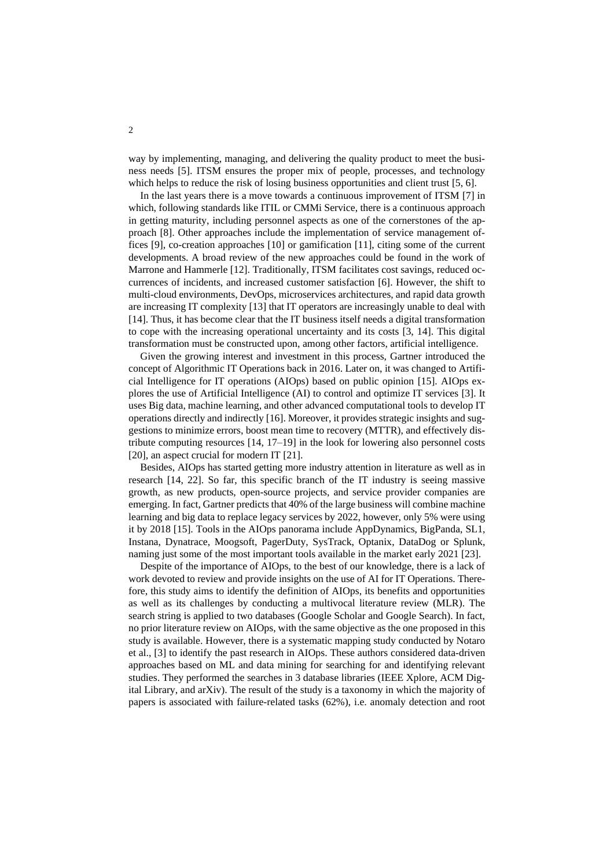way by implementing, managing, and delivering the quality product to meet the business needs [5]. ITSM ensures the proper mix of people, processes, and technology which helps to reduce the risk of losing business opportunities and client trust [5, 6].

In the last years there is a move towards a continuous improvement of ITSM [7] in which, following standards like ITIL or CMMi Service, there is a continuous approach in getting maturity, including personnel aspects as one of the cornerstones of the approach [8]. Other approaches include the implementation of service management offices [9], co-creation approaches [10] or gamification [11], citing some of the current developments. A broad review of the new approaches could be found in the work of Marrone and Hammerle [12]. Traditionally, ITSM facilitates cost savings, reduced occurrences of incidents, and increased customer satisfaction [6]. However, the shift to multi-cloud environments, DevOps, microservices architectures, and rapid data growth are increasing IT complexity [13] that IT operators are increasingly unable to deal with [14]. Thus, it has become clear that the IT business itself needs a digital transformation to cope with the increasing operational uncertainty and its costs [3, 14]. This digital transformation must be constructed upon, among other factors, artificial intelligence.

Given the growing interest and investment in this process, Gartner introduced the concept of Algorithmic IT Operations back in 2016. Later on, it was changed to Artificial Intelligence for IT operations (AIOps) based on public opinion [15]. AIOps explores the use of Artificial Intelligence (AI) to control and optimize IT services [3]. It uses Big data, machine learning, and other advanced computational tools to develop IT operations directly and indirectly [16]. Moreover, it provides strategic insights and suggestions to minimize errors, boost mean time to recovery (MTTR), and effectively distribute computing resources [14, 17–19] in the look for lowering also personnel costs [20], an aspect crucial for modern IT [21].

Besides, AIOps has started getting more industry attention in literature as well as in research [14, 22]. So far, this specific branch of the IT industry is seeing massive growth, as new products, open-source projects, and service provider companies are emerging. In fact, Gartner predicts that 40% of the large business will combine machine learning and big data to replace legacy services by 2022, however, only 5% were using it by 2018 [15]. Tools in the AIOps panorama include AppDynamics, BigPanda, SL1, Instana, Dynatrace, Moogsoft, PagerDuty, SysTrack, Optanix, DataDog or Splunk, naming just some of the most important tools available in the market early 2021 [23].

Despite of the importance of AIOps, to the best of our knowledge, there is a lack of work devoted to review and provide insights on the use of AI for IT Operations. Therefore, this study aims to identify the definition of AIOps, its benefits and opportunities as well as its challenges by conducting a multivocal literature review (MLR). The search string is applied to two databases (Google Scholar and Google Search). In fact, no prior literature review on AIOps, with the same objective as the one proposed in this study is available. However, there is a systematic mapping study conducted by Notaro et al., [3] to identify the past research in AIOps. These authors considered data-driven approaches based on ML and data mining for searching for and identifying relevant studies. They performed the searches in 3 database libraries (IEEE Xplore, ACM Digital Library, and arXiv). The result of the study is a taxonomy in which the majority of papers is associated with failure-related tasks (62%), i.e. anomaly detection and root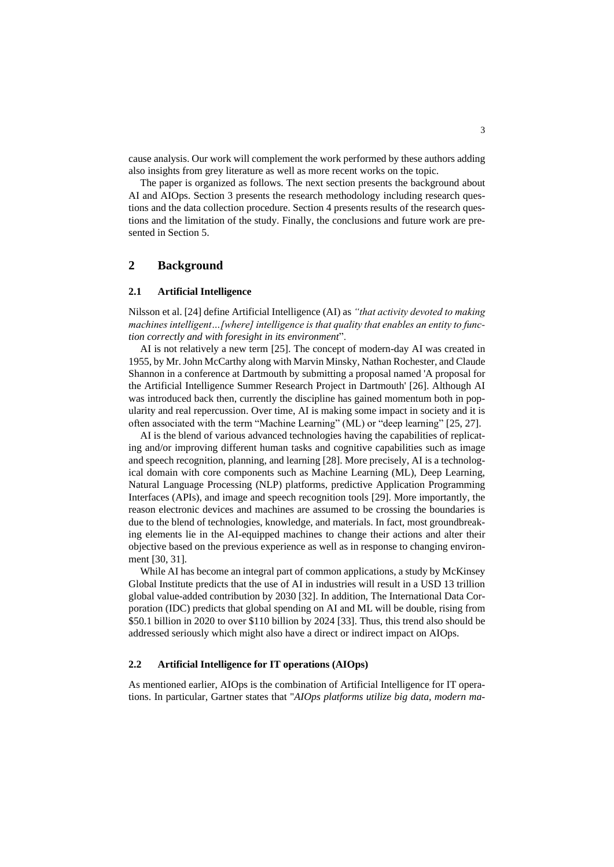cause analysis. Our work will complement the work performed by these authors adding also insights from grey literature as well as more recent works on the topic.

The paper is organized as follows. The next section presents the background about AI and AIOps. Section 3 presents the research methodology including research questions and the data collection procedure. Section 4 presents results of the research questions and the limitation of the study. Finally, the conclusions and future work are presented in Section 5.

# **2 Background**

#### **2.1 Artificial Intelligence**

Nilsson et al. [24] define Artificial Intelligence (AI) as *"that activity devoted to making machines intelligent…[where] intelligence is that quality that enables an entity to function correctly and with foresight in its environment*".

AI is not relatively a new term [25]. The concept of modern-day AI was created in 1955, by Mr. John McCarthy along with Marvin Minsky, Nathan Rochester, and Claude Shannon in a conference at Dartmouth by submitting a proposal named 'A proposal for the Artificial Intelligence Summer Research Project in Dartmouth' [26]. Although AI was introduced back then, currently the discipline has gained momentum both in popularity and real repercussion. Over time, AI is making some impact in society and it is often associated with the term "Machine Learning" (ML) or "deep learning" [25, 27].

AI is the blend of various advanced technologies having the capabilities of replicating and/or improving different human tasks and cognitive capabilities such as image and speech recognition, planning, and learning [28]. More precisely, AI is a technological domain with core components such as Machine Learning (ML), Deep Learning, Natural Language Processing (NLP) platforms, predictive Application Programming Interfaces (APIs), and image and speech recognition tools [29]. More importantly, the reason electronic devices and machines are assumed to be crossing the boundaries is due to the blend of technologies, knowledge, and materials. In fact, most groundbreaking elements lie in the AI-equipped machines to change their actions and alter their objective based on the previous experience as well as in response to changing environment [30, 31].

While AI has become an integral part of common applications, a study by McKinsey Global Institute predicts that the use of AI in industries will result in a USD 13 trillion global value-added contribution by 2030 [32]. In addition, The International Data Corporation (IDC) predicts that global spending on AI and ML will be double, rising from \$50.1 billion in 2020 to over \$110 billion by 2024 [33]. Thus, this trend also should be addressed seriously which might also have a direct or indirect impact on AIOps.

#### **2.2 Artificial Intelligence for IT operations (AIOps)**

As mentioned earlier, AIOps is the combination of Artificial Intelligence for IT operations. In particular, Gartner states that "*AIOps platforms utilize big data, modern ma-*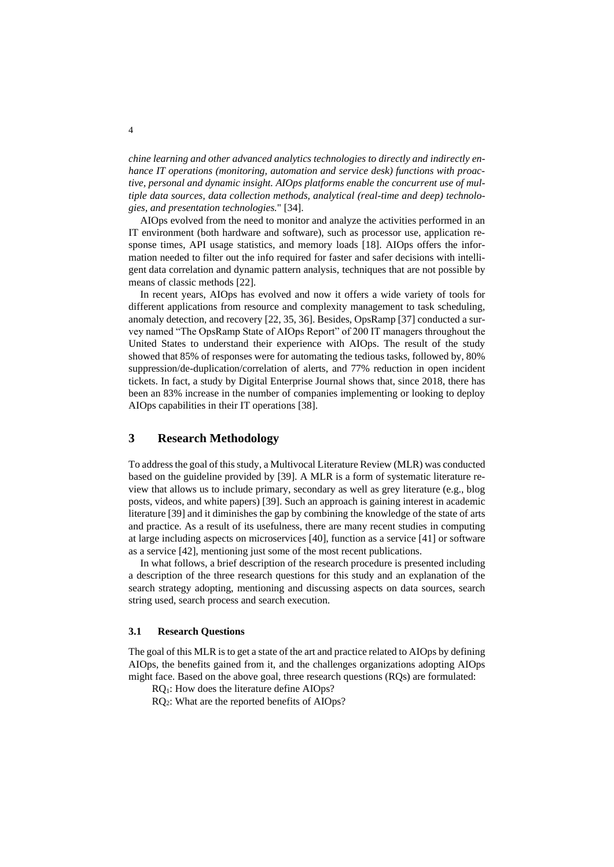*chine learning and other advanced analytics technologies to directly and indirectly enhance IT operations (monitoring, automation and service desk) functions with proactive, personal and dynamic insight. AIOps platforms enable the concurrent use of multiple data sources, data collection methods, analytical (real-time and deep) technologies, and presentation technologies.*" [34].

AIOps evolved from the need to monitor and analyze the activities performed in an IT environment (both hardware and software), such as processor use, application response times, API usage statistics, and memory loads [18]. AIOps offers the information needed to filter out the info required for faster and safer decisions with intelligent data correlation and dynamic pattern analysis, techniques that are not possible by means of classic methods [22].

In recent years, AIOps has evolved and now it offers a wide variety of tools for different applications from resource and complexity management to task scheduling, anomaly detection, and recovery [22, 35, 36]. Besides, OpsRamp [37] conducted a survey named "The OpsRamp State of AIOps Report" of 200 IT managers throughout the United States to understand their experience with AIOps. The result of the study showed that 85% of responses were for automating the tedious tasks, followed by, 80% suppression/de-duplication/correlation of alerts, and 77% reduction in open incident tickets. In fact, a study by [Digital Enterprise Journal](https://www.dej.cognanta.com/2020/05/04/the-aiops-maturity-research-study-key-findings/) shows that, since 2018, there has been an 83% increase in the number of companies implementing or looking to deploy AIOps capabilities in their IT operations [38].

## **3 Research Methodology**

To address the goal of this study, a Multivocal Literature Review (MLR) was conducted based on the guideline provided by [39]. A MLR is a form of systematic literature review that allows us to include primary, secondary as well as grey literature (e.g., blog posts, videos, and white papers) [39]. Such an approach is gaining interest in academic literature [39] and it diminishes the gap by combining the knowledge of the state of arts and practice. As a result of its usefulness, there are many recent studies in computing at large including aspects on microservices [40], function as a service [41] or software as a service [42], mentioning just some of the most recent publications.

In what follows, a brief description of the research procedure is presented including a description of the three research questions for this study and an explanation of the search strategy adopting, mentioning and discussing aspects on data sources, search string used, search process and search execution.

### <span id="page-3-0"></span>**3.1 Research Questions**

The goal of this MLR is to get a state of the art and practice related to AIOps by defining AIOps, the benefits gained from it, and the challenges organizations adopting AIOps might face. Based on the above goal, three research questions (RQs) are formulated:

RQ1: How does the literature define AIOps?

RQ2: What are the reported benefits of AIOps?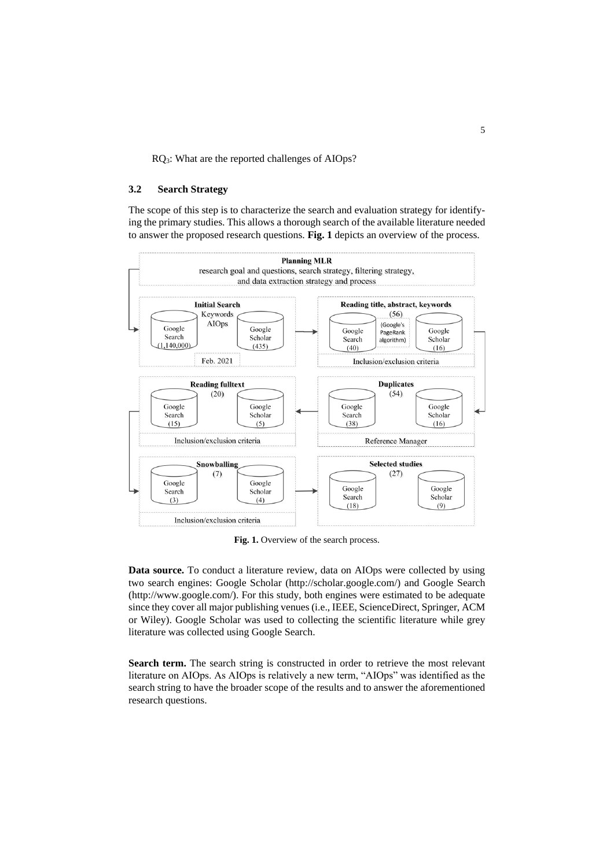RQ3: What are the reported challenges of AIOps?

### **3.2 Search Strategy**

The scope of this step is to characterize the search and evaluation strategy for identifying the primary studies. This allows a thorough search of the available literature needed to answer the proposed research questions. **[Fig. 1](#page-4-0)** depicts an overview of the process.



Fig. 1. Overview of the search process.

<span id="page-4-0"></span>**Data source.** To conduct a literature review, data on AIOps were collected by using two search engines: Google Scholar [\(http://scholar.google.com/\)](http://scholar.google.com/) and Google Search (http://www.google.com/). For this study, both engines were estimated to be adequate since they cover all major publishing venues (i.e., IEEE, ScienceDirect, Springer, ACM or Wiley). Google Scholar was used to collecting the scientific literature while grey literature was collected using Google Search.

Search term. The search string is constructed in order to retrieve the most relevant literature on AIOps. As AIOps is relatively a new term, "AIOps" was identified as the search string to have the broader scope of the results and to answer the aforementioned research questions.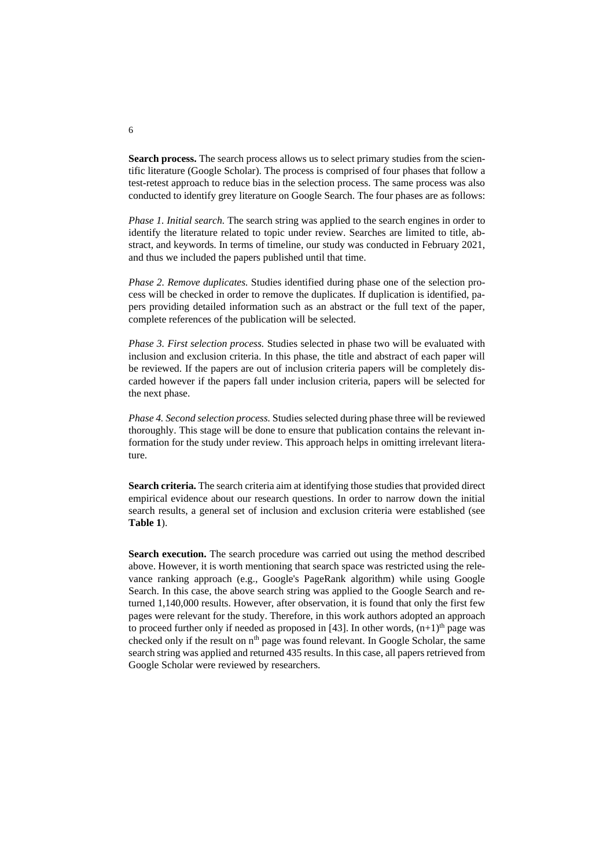**Search process.** The search process allows us to select primary studies from the scientific literature (Google Scholar). The process is comprised of four phases that follow a test-retest approach to reduce bias in the selection process. The same process was also conducted to identify grey literature on Google Search. The four phases are as follows:

*Phase 1. Initial search.* The search string was applied to the search engines in order to identify the literature related to topic under review. Searches are limited to title, abstract, and keywords. In terms of timeline, our study was conducted in February 2021, and thus we included the papers published until that time.

*Phase 2. Remove duplicates.* Studies identified during phase one of the selection process will be checked in order to remove the duplicates. If duplication is identified, papers providing detailed information such as an abstract or the full text of the paper, complete references of the publication will be selected.

*Phase 3. First selection process.* Studies selected in phase two will be evaluated with inclusion and exclusion criteria. In this phase, the title and abstract of each paper will be reviewed. If the papers are out of inclusion criteria papers will be completely discarded however if the papers fall under inclusion criteria, papers will be selected for the next phase.

*Phase 4. Second selection process.* Studies selected during phase three will be reviewed thoroughly. This stage will be done to ensure that publication contains the relevant information for the study under review. This approach helps in omitting irrelevant literature.

**Search criteria.** The search criteria aim at identifying those studies that provided direct empirical evidence about our research questions. In order to narrow down the initial search results, a general set of inclusion and exclusion criteria were established (see **[Table 1](#page-6-0)**).

**Search execution.** The search procedure was carried out using the method described above. However, it is worth mentioning that search space was restricted using the relevance ranking approach (e.g., Google's PageRank algorithm) while using Google Search. In this case, the above search string was applied to the Google Search and returned 1,140,000 results. However, after observation, it is found that only the first few pages were relevant for the study. Therefore, in this work authors adopted an approach to proceed further only if needed as proposed in [43]. In other words,  $(n+1)$ <sup>th</sup> page was checked only if the result on  $n<sup>th</sup>$  page was found relevant. In Google Scholar, the same search string was applied and returned 435 results. In this case, all papers retrieved from Google Scholar were reviewed by researchers.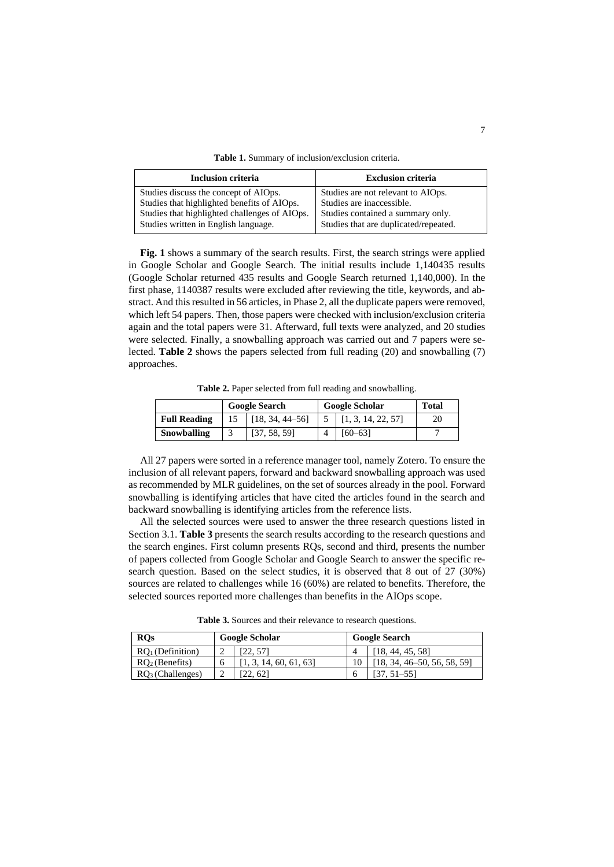**Table 1.** Summary of inclusion/exclusion criteria.

<span id="page-6-0"></span>

| <b>Inclusion criteria</b>                     | <b>Exclusion criteria</b>             |
|-----------------------------------------------|---------------------------------------|
| Studies discuss the concept of AIOps.         | Studies are not relevant to AIOps.    |
| Studies that highlighted benefits of AIOps.   | Studies are inaccessible.             |
| Studies that highlighted challenges of AIOps. | Studies contained a summary only.     |
| Studies written in English language.          | Studies that are duplicated/repeated. |

**[Fig. 1](#page-4-0)** shows a summary of the search results. First, the search strings were applied in Google Scholar and Google Search. The initial results include 1,140435 results (Google Scholar returned 435 results and Google Search returned 1,140,000). In the first phase, 1140387 results were excluded after reviewing the title, keywords, and abstract. And this resulted in 56 articles, in Phase 2, all the duplicate papers were removed, which left 54 papers. Then, those papers were checked with inclusion/exclusion criteria again and the total papers were 31. Afterward, full texts were analyzed, and 20 studies were selected. Finally, a snowballing approach was carried out and 7 papers were selected. **[Table 2](#page-6-1)** shows the papers selected from full reading (20) and snowballing (7) approaches.

**Table 2.** Paper selected from full reading and snowballing.

<span id="page-6-1"></span>

|                                            | <b>Google Search</b> |              |  | <b>Google Scholar</b> | <b>Total</b> |
|--------------------------------------------|----------------------|--------------|--|-----------------------|--------------|
| <b>Full Reading</b><br>$[18, 34, 44 - 56]$ |                      |              |  | [1, 3, 14, 22, 57]    | 20           |
| Snowballing                                |                      | [37, 58, 59] |  | [60–631               |              |

All 27 papers were sorted in a reference manager tool, namely Zotero. To ensure the inclusion of all relevant papers, forward and backward snowballing approach was used as recommended by MLR guidelines, on the set of sources already in the pool. Forward snowballing is identifying articles that have cited the articles found in the search and backward snowballing is identifying articles from the reference lists.

All the selected sources were used to answer the three research questions listed in Section [3.1.](#page-3-0) **[Table 3](#page-6-2)** presents the search results according to the research questions and the search engines. First column presents RQs, second and third, presents the number of papers collected from Google Scholar and Google Search to answer the specific research question. Based on the select studies, it is observed that 8 out of 27 (30%) sources are related to challenges while 16 (60%) are related to benefits. Therefore, the selected sources reported more challenges than benefits in the AIOps scope.

**Table 3.** Sources and their relevance to research questions.

<span id="page-6-2"></span>

| <b>ROs</b><br><b>Google Scholar</b> |  |                      | <b>Google Search</b> |                            |
|-------------------------------------|--|----------------------|----------------------|----------------------------|
| $RO1$ (Definition)                  |  |                      |                      | 18, 44, 45, 58]            |
| $RO2$ (Benefits)                    |  | 1, 3, 14, 60, 61, 63 |                      | 18, 34, 46–50, 56, 58, 59] |
| $RO3$ (Challenges)                  |  | 22,621               | h                    | . 51–551                   |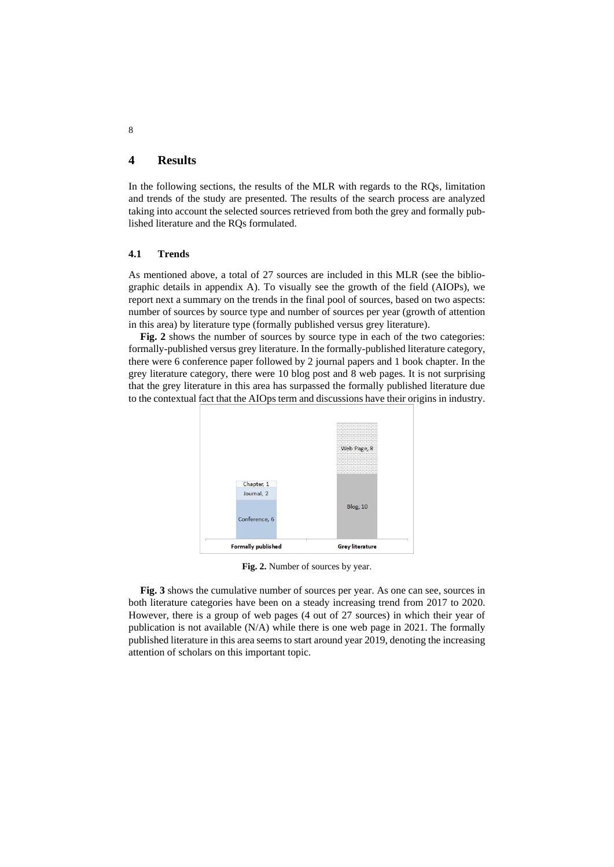# **4 Results**

In the following sections, the results of the MLR with regards to the RQs, limitation and trends of the study are presented. The results of the search process are analyzed taking into account the selected sources retrieved from both the grey and formally published literature and the RQs formulated.

### **4.1 Trends**

As mentioned above, a total of 27 sources are included in this MLR (see the bibliographic details in appendix A). To visually see the growth of the field (AIOPs), we report next a summary on the trends in the final pool of sources, based on two aspects: number of sources by source type and number of sources per year (growth of attention in this area) by literature type (formally published versus grey literature).

[Fig. 2](#page-7-0) shows the number of sources by source type in each of the two categories: formally-published versus grey literature. In the formally-published literature category, there were 6 conference paper followed by 2 journal papers and 1 book chapter. In the grey literature category, there were 10 blog post and 8 web pages. It is not surprising that the grey literature in this area has surpassed the formally published literature due to the contextual fact that the AIOps term and discussions have their origins in industry.



**Fig. 2.** Number of sources by year.

<span id="page-7-0"></span>**[Fig. 3](#page-8-0)** shows the cumulative number of sources per year. As one can see, sources in both literature categories have been on a steady increasing trend from 2017 to 2020. However, there is a group of web pages (4 out of 27 sources) in which their year of publication is not available  $(N/A)$  while there is one web page in 2021. The formally published literature in this area seems to start around year 2019, denoting the increasing attention of scholars on this important topic.

8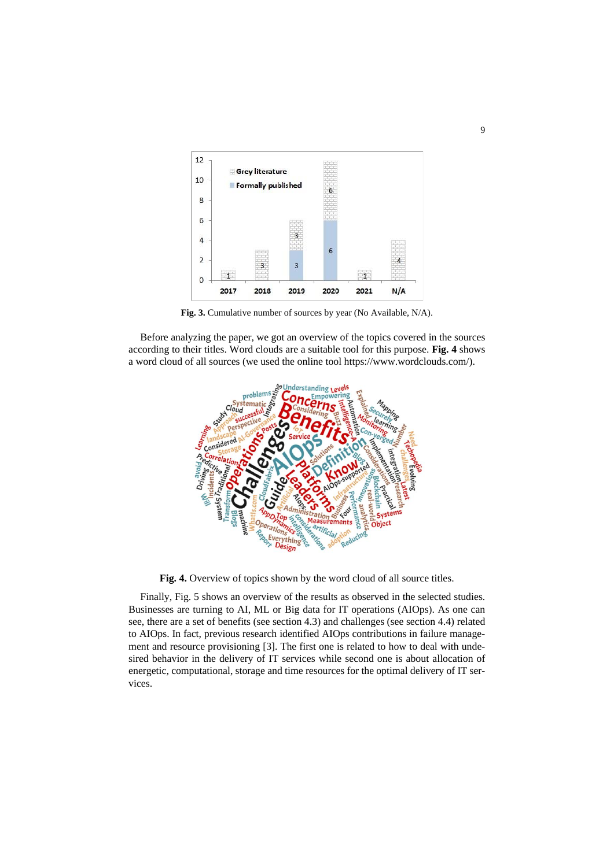

**Fig. 3.** Cumulative number of sources by year (No Available, N/A).

<span id="page-8-0"></span>Before analyzing the paper, we got an overview of the topics covered in the sources according to their titles. Word clouds are a suitable tool for this purpose. **[Fig. 4](#page-8-1)** shows a word cloud of all sources (we used the online tool https://www.wordclouds.com/).



**Fig. 4.** Overview of topics shown by the word cloud of all source titles.

<span id="page-8-1"></span>Finally, [Fig. 5](#page-9-0) shows an overview of the results as observed in the selected studies. Businesses are turning to AI, ML or Big data for IT operations (AIOps). As one can see, there are a set of benefits (see section 4.3) and challenges (see section 4.4) related to AIOps. In fact, previous research identified AIOps contributions in failure management and resource provisioning [3]. The first one is related to how to deal with undesired behavior in the delivery of IT services while second one is about allocation of energetic, computational, storage and time resources for the optimal delivery of IT services.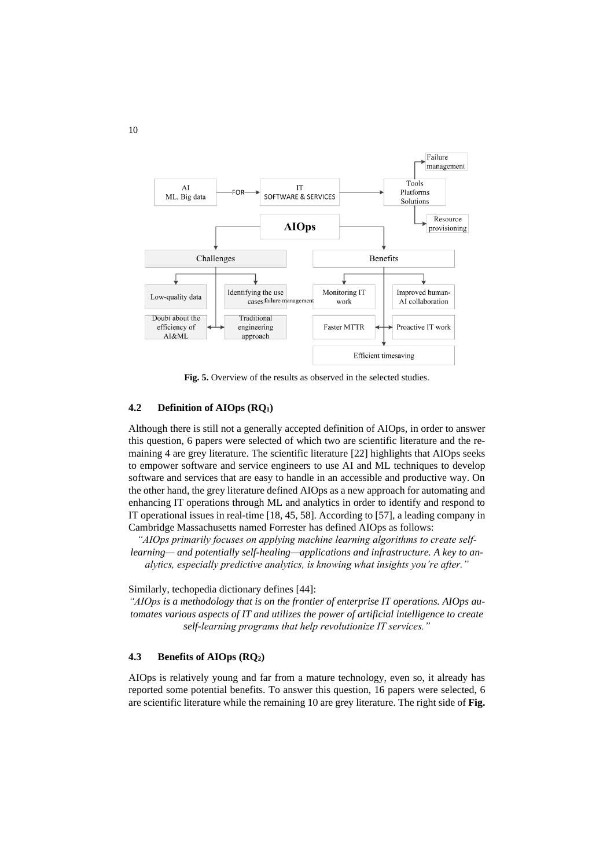

**Fig. 5.** Overview of the results as observed in the selected studies.

### <span id="page-9-0"></span>**4.2 Definition of AIOps (RQ1)**

Although there is still not a generally accepted definition of AIOps, in order to answer this question, 6 papers were selected of which two are scientific literature and the remaining 4 are grey literature. The scientific literature [22] highlights that AIOps seeks to empower software and service engineers to use AI and ML techniques to develop software and services that are easy to handle in an accessible and productive way. On the other hand, the grey literature defined AIOps as a new approach for automating and enhancing IT operations through ML and analytics in order to identify and respond to IT operational issues in real-time [18, 45, 58]. According to [57], a leading company in Cambridge Massachusetts named Forrester has defined AIOps as follows:

*"AIOps primarily focuses on applying machine learning algorithms to create selflearning— and potentially self-healing—applications and infrastructure. A key to analytics, especially predictive analytics, is knowing what insights you're after."* 

Similarly, techopedia dictionary defines [44]:

*"AIOps is a methodology that is on the frontier of enterprise IT operations. AIOps automates various aspects of IT and utilizes the power of artificial intelligence to create self-learning programs that help revolutionize IT services."*

### **4.3 Benefits of AIOps (RQ2)**

AIOps is relatively young and far from a mature technology, even so, it already has reported some potential benefits. To answer this question, 16 papers were selected, 6 are scientific literature while the remaining 10 are grey literature. The right side of **[Fig.](#page-9-0)**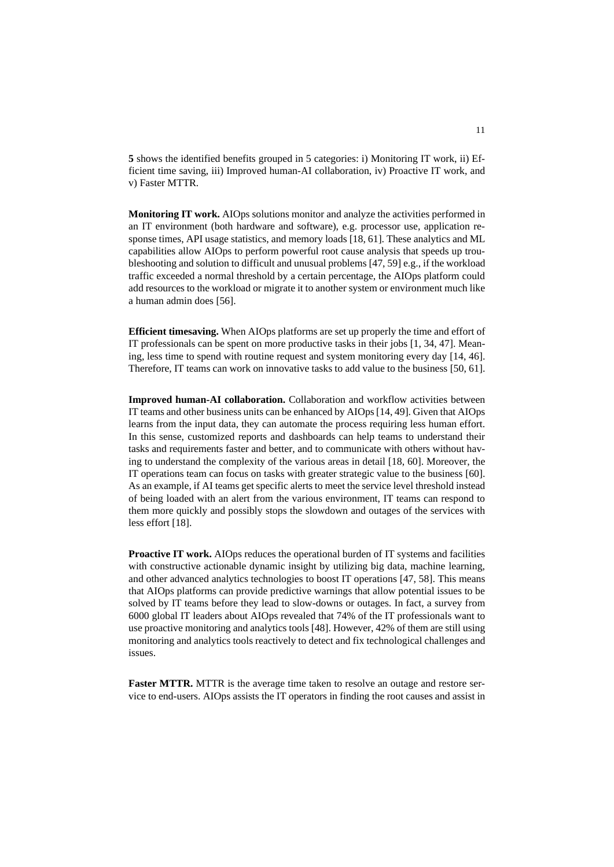**[5](#page-9-0)** shows the identified benefits grouped in 5 categories: i) Monitoring IT work, ii) Efficient time saving, iii) Improved human-AI collaboration, iv) Proactive IT work, and v) Faster MTTR.

**Monitoring IT work.** AIOps solutions monitor and analyze the activities performed in an IT environment (both hardware and software), e.g. processor use, application response times, API usage statistics, and memory loads [18, 61]. These analytics and ML capabilities allow AIOps to perform powerful root cause analysis that speeds up troubleshooting and solution to difficult and unusual problems [47, 59] e.g., if the workload traffic exceeded a normal threshold by a certain percentage, the AIOps platform could add resources to the workload or migrate it to another system or environment much like a human admin does [56].

**Efficient timesaving.** When AIOps platforms are set up properly the time and effort of IT professionals can be spent on more productive tasks in their jobs [1, 34, 47]. Meaning, less time to spend with routine request and system monitoring every day [14, 46]. Therefore, IT teams can work on innovative tasks to add value to the business [50, 61].

**Improved human-AI collaboration.** Collaboration and workflow activities between IT teams and other business units can be enhanced by AIOps [14, 49]. Given that AIOps learns from the input data, they can automate the process requiring less human effort. In this sense, customized reports and dashboards can help teams to understand their tasks and requirements faster and better, and to communicate with others without having to understand the complexity of the various areas in detail [18, 60]. Moreover, the IT operations team can focus on tasks with greater strategic value to the business [60]. As an example, if AI teams get specific alerts to meet the service level threshold instead of being loaded with an alert from the various environment, IT teams can respond to them more quickly and possibly stops the slowdown and outages of the services with less effort [18].

**Proactive IT work.** AIOps reduces the operational burden of IT systems and facilities with constructive actionable dynamic insight by utilizing big data, machine learning, and other advanced analytics technologies to boost IT operations [47, 58]. This means that AIOps platforms can provide predictive warnings that allow potential issues to be solved by IT teams before they lead to slow-downs or outages. In fact, a survey from 6000 global IT leaders about AIOps revealed that 74% of the IT professionals want to use proactive monitoring and analytics tools [48]. However, 42% of them are still using monitoring and analytics tools reactively to detect and fix technological challenges and issues.

**Faster MTTR.** MTTR is the average time taken to resolve an outage and restore service to end-users. AIOps assists the IT operators in finding the root causes and assist in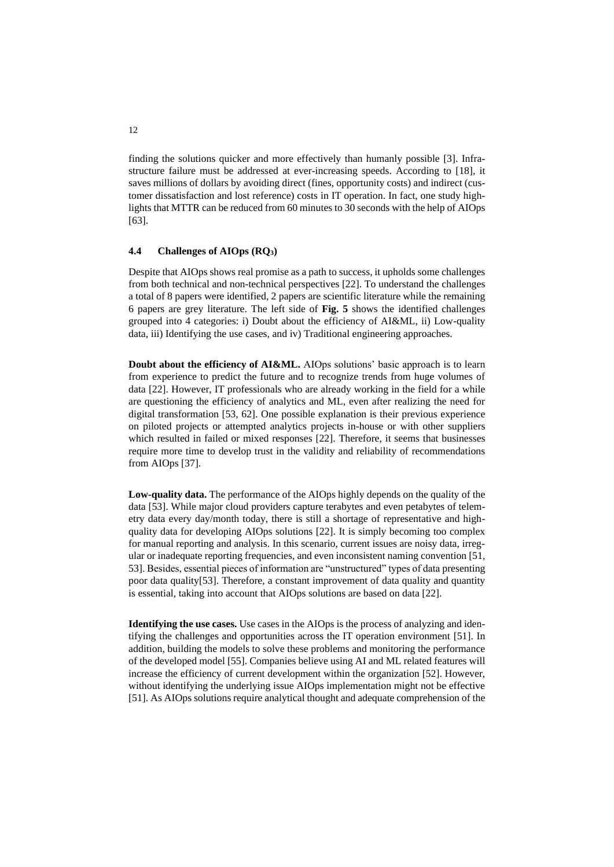finding the solutions quicker and more effectively than humanly possible [3]. Infrastructure failure must be addressed at ever-increasing speeds. According to [18], it saves millions of dollars by avoiding direct (fines, opportunity costs) and indirect (customer dissatisfaction and lost reference) costs in IT operation. In fact, one study highlights that MTTR can be reduced from 60 minutes to 30 seconds with the help of AIOps [63].

#### **4.4 Challenges of AIOps (RQ3)**

Despite that AIOps shows real promise as a path to success, it upholds some challenges from both technical and non-technical perspectives [22]. To understand the challenges a total of 8 papers were identified, 2 papers are scientific literature while the remaining 6 papers are grey literature. The left side of **[Fig. 5](#page-9-0)** shows the identified challenges grouped into 4 categories: i) Doubt about the efficiency of AI&ML, ii) Low-quality data, iii) Identifying the use cases, and iv) Traditional engineering approaches.

**Doubt about the efficiency of AI&ML.** AIOps solutions' basic approach is to learn from experience to predict the future and to recognize trends from huge volumes of data [22]. However, IT professionals who are already working in the field for a while are questioning the efficiency of analytics and ML, even after realizing the need for digital transformation [53, 62]. One possible explanation is their previous experience on piloted projects or attempted analytics projects in-house or with other suppliers which resulted in failed or mixed responses [22]. Therefore, it seems that businesses require more time to develop trust in the validity and reliability of recommendations from AIOps [37].

**Low-quality data.** The performance of the AIOps highly depends on the quality of the data [53]. While major cloud providers capture terabytes and even petabytes of telemetry data every day/month today, there is still a shortage of representative and highquality data for developing AIOps solutions [22]. It is simply becoming too complex for manual reporting and analysis. In this scenario, current issues are noisy data, irregular or inadequate reporting frequencies, and even inconsistent naming convention [51, 53]. Besides, essential pieces of information are "unstructured" types of data presenting poor data quality[53]. Therefore, a constant improvement of data quality and quantity is essential, taking into account that AIOps solutions are based on data [22].

**Identifying the use cases.** Use cases in the AIOps is the process of analyzing and identifying the challenges and opportunities across the IT operation environment [51]. In addition, building the models to solve these problems and monitoring the performance of the developed model [55]. Companies believe using AI and ML related features will increase the efficiency of current development within the organization [52]. However, without identifying the underlying issue AIOps implementation might not be effective [51]. As AIOps solutions require analytical thought and adequate comprehension of the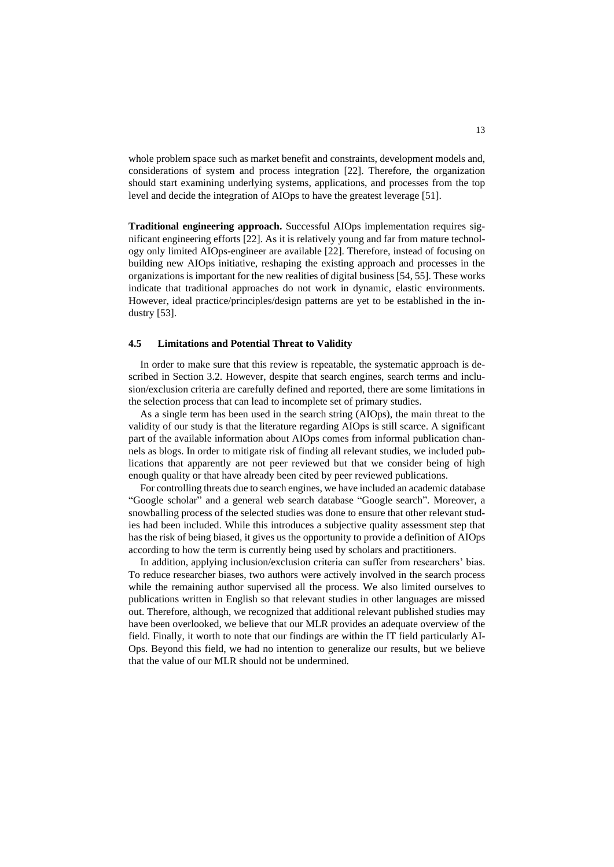whole problem space such as market benefit and constraints, development models and, considerations of system and process integration [22]. Therefore, the organization should start examining underlying systems, applications, and processes from the top level and decide the integration of AIOps to have the greatest leverage [51].

**Traditional engineering approach.** Successful AIOps implementation requires significant engineering efforts [22]. As it is relatively young and far from mature technology only limited AIOps-engineer are available [22]. Therefore, instead of focusing on building new AIOps initiative, reshaping the existing approach and processes in the organizations is important for the new realities of digital business [54, 55]. These works indicate that traditional approaches do not work in dynamic, elastic environments. However, ideal practice/principles/design patterns are yet to be established in the industry [53].

#### **4.5 Limitations and Potential Threat to Validity**

In order to make sure that this review is repeatable, the systematic approach is described in Section 3.2. However, despite that search engines, search terms and inclusion/exclusion criteria are carefully defined and reported, there are some limitations in the selection process that can lead to incomplete set of primary studies.

As a single term has been used in the search string (AIOps), the main threat to the validity of our study is that the literature regarding AIOps is still scarce. A significant part of the available information about AIOps comes from informal publication channels as blogs. In order to mitigate risk of finding all relevant studies, we included publications that apparently are not peer reviewed but that we consider being of high enough quality or that have already been cited by peer reviewed publications.

For controlling threats due to search engines, we have included an academic database "Google scholar" and a general web search database "Google search". Moreover, a snowballing process of the selected studies was done to ensure that other relevant studies had been included. While this introduces a subjective quality assessment step that has the risk of being biased, it gives us the opportunity to provide a definition of AIOps according to how the term is currently being used by scholars and practitioners.

In addition, applying inclusion/exclusion criteria can suffer from researchers' bias. To reduce researcher biases, two authors were actively involved in the search process while the remaining author supervised all the process. We also limited ourselves to publications written in English so that relevant studies in other languages are missed out. Therefore, although, we recognized that additional relevant published studies may have been overlooked, we believe that our MLR provides an adequate overview of the field. Finally, it worth to note that our findings are within the IT field particularly AI-Ops. Beyond this field, we had no intention to generalize our results, but we believe that the value of our MLR should not be undermined.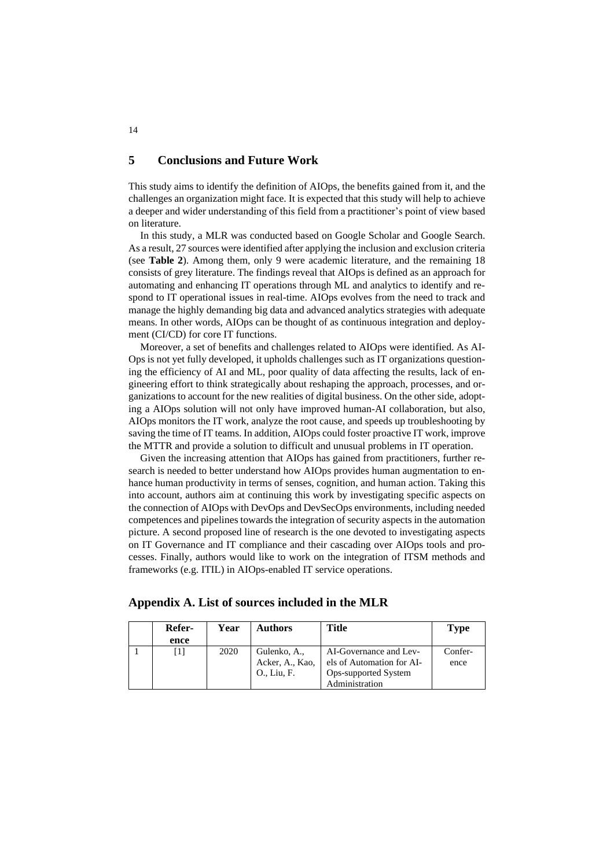### **5 Conclusions and Future Work**

This study aims to identify the definition of AIOps, the benefits gained from it, and the challenges an organization might face. It is expected that this study will help to achieve a deeper and wider understanding of this field from a practitioner's point of view based on literature.

In this study, a MLR was conducted based on Google Scholar and Google Search. As a result, 27 sources were identified after applying the inclusion and exclusion criteria (see **[Table 2](#page-6-1)**). Among them, only 9 were academic literature, and the remaining 18 consists of grey literature. The findings reveal that AIOps is defined as an approach for automating and enhancing IT operations through ML and analytics to identify and respond to IT operational issues in real-time. AIOps evolves from the need to track and manage the highly demanding big data and advanced analytics strategies with adequate means. In other words, AIOps can be thought of as continuous integration and deployment (CI/CD) for core IT functions.

Moreover, a set of benefits and challenges related to AIOps were identified. As AI-Ops is not yet fully developed, it upholds challenges such as IT organizations questioning the efficiency of AI and ML, poor quality of data affecting the results, lack of engineering effort to think strategically about reshaping the approach, processes, and organizations to account for the new realities of digital business. On the other side, adopting a AIOps solution will not only have improved human-AI collaboration, but also, AIOps monitors the IT work, analyze the root cause, and speeds up troubleshooting by saving the time of IT teams. In addition, AIOps could foster proactive IT work, improve the MTTR and provide a solution to difficult and unusual problems in IT operation.

Given the increasing attention that AIOps has gained from practitioners, further research is needed to better understand how AIOps provides human augmentation to enhance human productivity in terms of senses, cognition, and human action. Taking this into account, authors aim at continuing this work by investigating specific aspects on the connection of AIOps with DevOps and DevSecOps environments, including needed competences and pipelines towards the integration of security aspects in the automation picture. A second proposed line of research is the one devoted to investigating aspects on IT Governance and IT compliance and their cascading over AIOps tools and processes. Finally, authors would like to work on the integration of ITSM methods and frameworks (e.g. ITIL) in AIOps-enabled IT service operations.

|  | Appendix A. List of sources included in the MLR |  |  |  |  |  |  |  |  |  |  |
|--|-------------------------------------------------|--|--|--|--|--|--|--|--|--|--|
|--|-------------------------------------------------|--|--|--|--|--|--|--|--|--|--|

| Refer- | Year | Authors         | <b>Title</b>              | Type    |
|--------|------|-----------------|---------------------------|---------|
| ence   |      |                 |                           |         |
|        | 2020 | Gulenko, A.,    | AI-Governance and Lev-    | Confer- |
|        |      | Acker, A., Kao, | els of Automation for AI- | ence    |
|        |      | O., Liu, F.     | Ops-supported System      |         |
|        |      |                 | Administration            |         |

14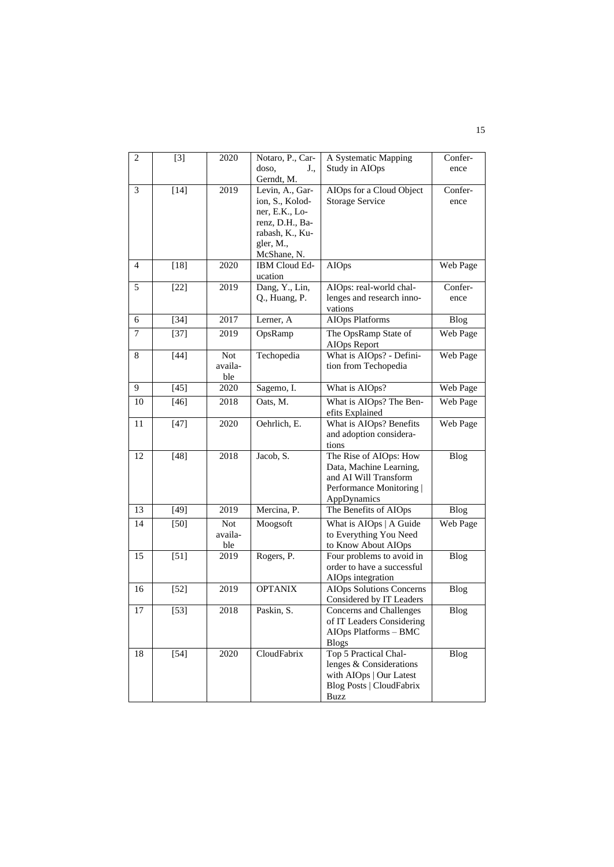| 2               | $[3]$  | 2020       | Notaro, P., Car- | A Systematic Mapping            | Confer-     |
|-----------------|--------|------------|------------------|---------------------------------|-------------|
|                 |        |            | doso,<br>J.,     | Study in AIOps                  | ence        |
|                 |        |            | Gerndt, M.       |                                 |             |
| 3               | $[14]$ | 2019       | Levin, A., Gar-  | AIOps for a Cloud Object        | Confer-     |
|                 |        |            | ion, S., Kolod-  | <b>Storage Service</b>          | ence        |
|                 |        |            | ner, E.K., Lo-   |                                 |             |
|                 |        |            | renz, D.H., Ba-  |                                 |             |
|                 |        |            | rabash, K., Ku-  |                                 |             |
|                 |        |            | gler, M.,        |                                 |             |
|                 |        |            | McShane, N.      |                                 |             |
| $\overline{4}$  | $[18]$ | 2020       | IBM Cloud Ed-    | <b>AIOps</b>                    | Web Page    |
|                 |        |            | ucation          |                                 |             |
| 5               | $[22]$ | 2019       | Dang, Y., Lin,   | AIOps: real-world chal-         | Confer-     |
|                 |        |            | Q., Huang, P.    | lenges and research inno-       | ence        |
|                 |        |            |                  | vations                         |             |
| 6               | $[34]$ | 2017       | Lerner, A        | <b>AIOps Platforms</b>          | Blog        |
| 7               | $[37]$ | 2019       | OpsRamp          | The OpsRamp State of            | Web Page    |
|                 |        |            |                  | AIOps Report                    |             |
| 8               | $[44]$ | <b>Not</b> | Techopedia       | What is AIOps? - Defini-        | Web Page    |
|                 |        | availa-    |                  | tion from Techopedia            |             |
|                 |        | ble        |                  |                                 |             |
| 9               | $[45]$ | 2020       | Sagemo, I.       | What is AIOps?                  | Web Page    |
| 10              | $[46]$ | 2018       | Oats, M.         | What is AIOps? The Ben-         | Web Page    |
|                 |        |            |                  | efits Explained                 |             |
| 11              | $[47]$ | 2020       | Oehrlich, E.     | What is AIOps? Benefits         | Web Page    |
|                 |        |            |                  | and adoption considera-         |             |
|                 |        |            |                  | tions                           |             |
| 12              | $[48]$ | 2018       | Jacob, S.        | The Rise of AIOps: How          | <b>Blog</b> |
|                 |        |            |                  | Data, Machine Learning,         |             |
|                 |        |            |                  | and AI Will Transform           |             |
|                 |        |            |                  | Performance Monitoring          |             |
|                 |        |            |                  | AppDynamics                     |             |
| 13              | $[49]$ | 2019       | Mercina, P.      | The Benefits of AIOps           | <b>Blog</b> |
| 14              | $[50]$ | <b>Not</b> | Moogsoft         | What is AIOps   A Guide         | Web Page    |
|                 |        | availa-    |                  | to Everything You Need          |             |
|                 |        | ble        |                  | to Know About AIOps             |             |
| 15              | $[51]$ | 2019       | Rogers, P.       | Four problems to avoid in       | <b>Blog</b> |
|                 |        |            |                  | order to have a successful      |             |
|                 |        |            |                  | AIOps integration               |             |
| 16              | $[52]$ | 2019       | <b>OPTANIX</b>   | <b>AIOps</b> Solutions Concerns | Blog        |
|                 |        |            |                  | Considered by IT Leaders        |             |
| $\overline{17}$ | $[53]$ | 2018       | Paskin, S.       | Concerns and Challenges         | Blog        |
|                 |        |            |                  | of IT Leaders Considering       |             |
|                 |        |            |                  | AIOps Platforms - BMC           |             |
|                 |        |            |                  | <b>Blogs</b>                    |             |
| 18              | $[54]$ | 2020       | CloudFabrix      | Top 5 Practical Chal-           | <b>Blog</b> |
|                 |        |            |                  | lenges & Considerations         |             |
|                 |        |            |                  | with AIOps   Our Latest         |             |
|                 |        |            |                  | <b>Blog Posts   CloudFabrix</b> |             |
|                 |        |            |                  | <b>Buzz</b>                     |             |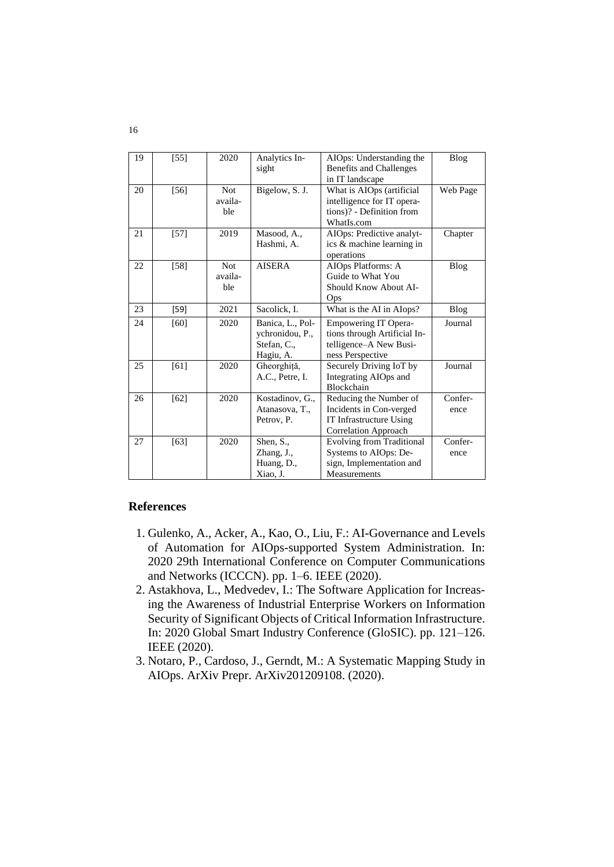| 19 | $[55]$ | 2020                         | Analytics In-<br>sight                                          | AIOps: Understanding the<br><b>Benefits and Challenges</b><br>in IT landscape                               | Blog            |
|----|--------|------------------------------|-----------------------------------------------------------------|-------------------------------------------------------------------------------------------------------------|-----------------|
| 20 | $[56]$ | <b>Not</b><br>availa-<br>ble | Bigelow, S. J.                                                  | What is AIOps (artificial<br>intelligence for IT opera-<br>tions)? - Definition from<br>WhatIs.com          | Web Page        |
| 21 | $[57]$ | 2019                         | Masood, A.,<br>Hashmi, A.                                       | AIOps: Predictive analyt-<br>ics & machine learning in<br>operations                                        | Chapter         |
| 22 | $[58]$ | <b>Not</b><br>availa-<br>ble | <b>AISERA</b>                                                   | AIOps Platforms: A<br>Guide to What You<br>Should Know About AI-<br>Ops                                     | Blog            |
| 23 | [59]   | 2021                         | Sacolick, I.                                                    | What is the AI in AIops?                                                                                    | Blog            |
| 24 | [60]   | 2020                         | Banica, L., Pol-<br>ychronidou, P.,<br>Stefan, C.,<br>Hagiu, A. | <b>Empowering IT Opera-</b><br>tions through Artificial In-<br>telligence-A New Busi-<br>ness Perspective   | Journal         |
| 25 | [61]   | 2020                         | Gheorghiță,<br>A.C., Petre, I.                                  | Securely Driving IoT by<br>Integrating AIOps and<br>Blockchain                                              | Journal         |
| 26 | $[62]$ | 2020                         | Kostadinov, G.,<br>Atanasova, T.,<br>Petrov, P.                 | Reducing the Number of<br>Incidents in Con-verged<br>IT Infrastructure Using<br><b>Correlation Approach</b> | Confer-<br>ence |
| 27 | $[63]$ | 2020                         | Shen, S.,<br>Zhang, J.,<br>Huang, D.,<br>Xiao, J.               | <b>Evolving from Traditional</b><br>Systems to AIOps: De-<br>sign, Implementation and<br>Measurements       | Confer-<br>ence |

# **References**

- 1. Gulenko, A., Acker, A., Kao, O., Liu, F.: AI-Governance and Levels of Automation for AIOps-supported System Administration. In: 2020 29th International Conference on Computer Communications and Networks (ICCCN). pp. 1–6. IEEE (2020).
- 2. Astakhova, L., Medvedev, I.: The Software Application for Increasing the Awareness of Industrial Enterprise Workers on Information Security of Significant Objects of Critical Information Infrastructure. In: 2020 Global Smart Industry Conference (GloSIC). pp. 121–126. IEEE (2020).
- 3. Notaro, P., Cardoso, J., Gerndt, M.: A Systematic Mapping Study in AIOps. ArXiv Prepr. ArXiv201209108. (2020).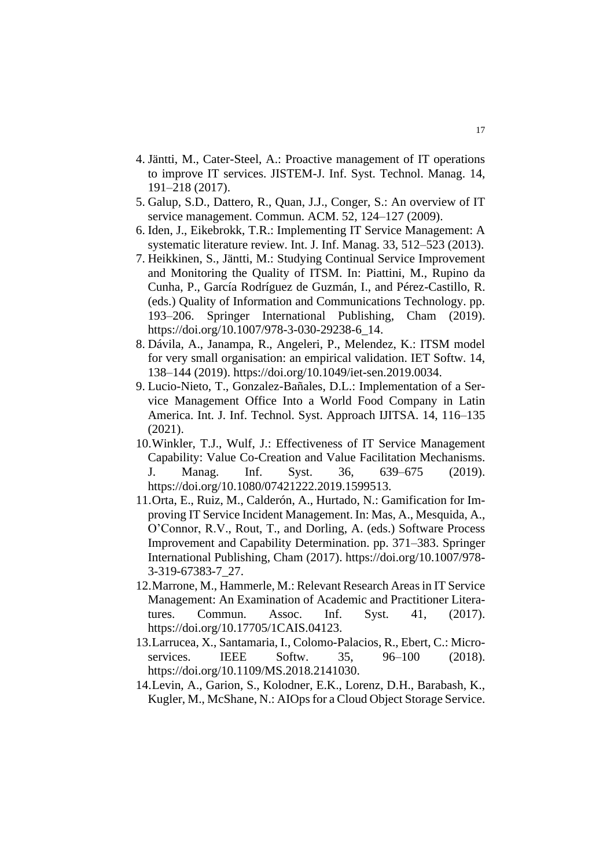- 4. Jäntti, M., Cater-Steel, A.: Proactive management of IT operations to improve IT services. JISTEM-J. Inf. Syst. Technol. Manag. 14, 191–218 (2017).
- 5. Galup, S.D., Dattero, R., Quan, J.J., Conger, S.: An overview of IT service management. Commun. ACM. 52, 124–127 (2009).
- 6. Iden, J., Eikebrokk, T.R.: Implementing IT Service Management: A systematic literature review. Int. J. Inf. Manag. 33, 512–523 (2013).
- 7. Heikkinen, S., Jäntti, M.: Studying Continual Service Improvement and Monitoring the Quality of ITSM. In: Piattini, M., Rupino da Cunha, P., García Rodríguez de Guzmán, I., and Pérez-Castillo, R. (eds.) Quality of Information and Communications Technology. pp. 193–206. Springer International Publishing, Cham (2019). https://doi.org/10.1007/978-3-030-29238-6\_14.
- 8. Dávila, A., Janampa, R., Angeleri, P., Melendez, K.: ITSM model for very small organisation: an empirical validation. IET Softw. 14, 138–144 (2019). https://doi.org/10.1049/iet-sen.2019.0034.
- 9. Lucio-Nieto, T., Gonzalez-Bañales, D.L.: Implementation of a Service Management Office Into a World Food Company in Latin America. Int. J. Inf. Technol. Syst. Approach IJITSA. 14, 116–135 (2021).
- 10.Winkler, T.J., Wulf, J.: Effectiveness of IT Service Management Capability: Value Co-Creation and Value Facilitation Mechanisms. J. Manag. Inf. Syst. 36, 639–675 (2019). https://doi.org/10.1080/07421222.2019.1599513.
- 11.Orta, E., Ruiz, M., Calderón, A., Hurtado, N.: Gamification for Improving IT Service Incident Management. In: Mas, A., Mesquida, A., O'Connor, R.V., Rout, T., and Dorling, A. (eds.) Software Process Improvement and Capability Determination. pp. 371–383. Springer International Publishing, Cham (2017). https://doi.org/10.1007/978- 3-319-67383-7\_27.
- 12. Marrone, M., Hammerle, M.: Relevant Research Areas in IT Service Management: An Examination of Academic and Practitioner Literatures. Commun. Assoc. Inf. Syst. 41, (2017). https://doi.org/10.17705/1CAIS.04123.
- 13.Larrucea, X., Santamaria, I., Colomo-Palacios, R., Ebert, C.: Microservices. IEEE Softw. 35, 96–100 (2018). https://doi.org/10.1109/MS.2018.2141030.
- 14.Levin, A., Garion, S., Kolodner, E.K., Lorenz, D.H., Barabash, K., Kugler, M., McShane, N.: AIOps for a Cloud Object Storage Service.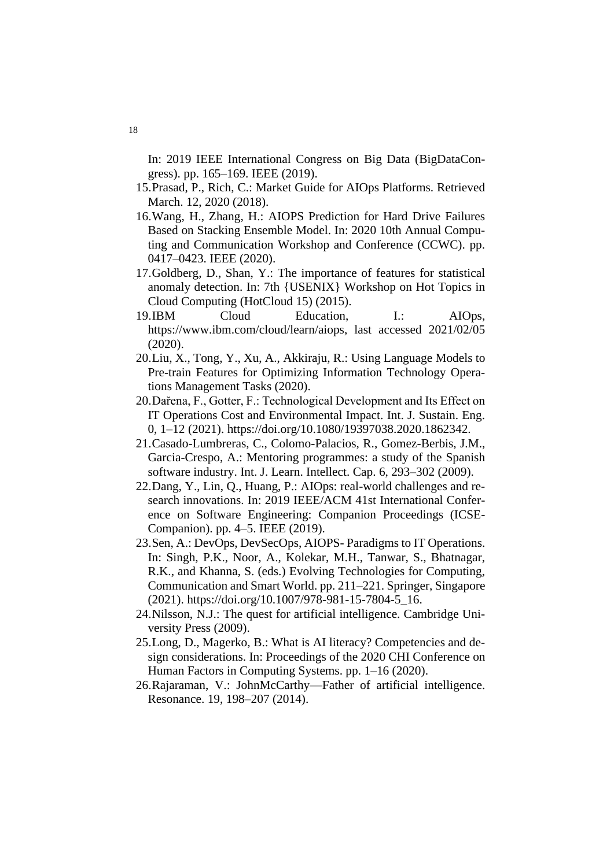In: 2019 IEEE International Congress on Big Data (BigDataCongress). pp. 165–169. IEEE (2019).

- 15.Prasad, P., Rich, C.: Market Guide for AIOps Platforms. Retrieved March. 12, 2020 (2018).
- 16.Wang, H., Zhang, H.: AIOPS Prediction for Hard Drive Failures Based on Stacking Ensemble Model. In: 2020 10th Annual Computing and Communication Workshop and Conference (CCWC). pp. 0417–0423. IEEE (2020).
- 17.Goldberg, D., Shan, Y.: The importance of features for statistical anomaly detection. In: 7th {USENIX} Workshop on Hot Topics in Cloud Computing (HotCloud 15) (2015).
- 19.IBM Cloud Education, I.: AIOps, https://www.ibm.com/cloud/learn/aiops, last accessed 2021/02/05 (2020).
- 20.Liu, X., Tong, Y., Xu, A., Akkiraju, R.: Using Language Models to Pre-train Features for Optimizing Information Technology Operations Management Tasks (2020).
- 20.Dařena, F., Gotter, F.: Technological Development and Its Effect on IT Operations Cost and Environmental Impact. Int. J. Sustain. Eng. 0, 1–12 (2021). https://doi.org/10.1080/19397038.2020.1862342.
- 21.Casado-Lumbreras, C., Colomo-Palacios, R., Gomez-Berbis, J.M., Garcia-Crespo, A.: Mentoring programmes: a study of the Spanish software industry. Int. J. Learn. Intellect. Cap. 6, 293–302 (2009).
- 22.Dang, Y., Lin, Q., Huang, P.: AIOps: real-world challenges and research innovations. In: 2019 IEEE/ACM 41st International Conference on Software Engineering: Companion Proceedings (ICSE-Companion). pp. 4–5. IEEE (2019).
- 23.Sen, A.: DevOps, DevSecOps, AIOPS- Paradigms to IT Operations. In: Singh, P.K., Noor, A., Kolekar, M.H., Tanwar, S., Bhatnagar, R.K., and Khanna, S. (eds.) Evolving Technologies for Computing, Communication and Smart World. pp. 211–221. Springer, Singapore (2021). https://doi.org/10.1007/978-981-15-7804-5\_16.
- 24.Nilsson, N.J.: The quest for artificial intelligence. Cambridge University Press (2009).
- 25.Long, D., Magerko, B.: What is AI literacy? Competencies and design considerations. In: Proceedings of the 2020 CHI Conference on Human Factors in Computing Systems. pp. 1–16 (2020).
- 26.Rajaraman, V.: JohnMcCarthy—Father of artificial intelligence. Resonance. 19, 198–207 (2014).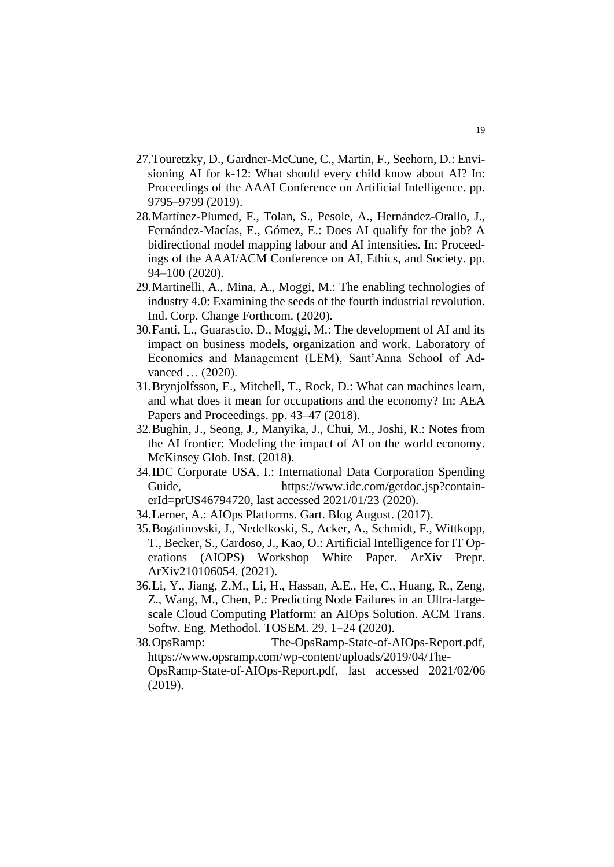- 27.Touretzky, D., Gardner-McCune, C., Martin, F., Seehorn, D.: Envisioning AI for k-12: What should every child know about AI? In: Proceedings of the AAAI Conference on Artificial Intelligence. pp. 9795–9799 (2019).
- 28.Martínez-Plumed, F., Tolan, S., Pesole, A., Hernández-Orallo, J., Fernández-Macías, E., Gómez, E.: Does AI qualify for the job? A bidirectional model mapping labour and AI intensities. In: Proceedings of the AAAI/ACM Conference on AI, Ethics, and Society. pp. 94–100 (2020).
- 29.Martinelli, A., Mina, A., Moggi, M.: The enabling technologies of industry 4.0: Examining the seeds of the fourth industrial revolution. Ind. Corp. Change Forthcom. (2020).
- 30.Fanti, L., Guarascio, D., Moggi, M.: The development of AI and its impact on business models, organization and work. Laboratory of Economics and Management (LEM), Sant'Anna School of Advanced … (2020).
- 31.Brynjolfsson, E., Mitchell, T., Rock, D.: What can machines learn, and what does it mean for occupations and the economy? In: AEA Papers and Proceedings. pp. 43–47 (2018).
- 32.Bughin, J., Seong, J., Manyika, J., Chui, M., Joshi, R.: Notes from the AI frontier: Modeling the impact of AI on the world economy. McKinsey Glob. Inst. (2018).
- 34.IDC Corporate USA, I.: International Data Corporation Spending Guide, https://www.idc.com/getdoc.jsp?containerId=prUS46794720, last accessed 2021/01/23 (2020).
- 34.Lerner, A.: AIOps Platforms. Gart. Blog August. (2017).
- 35.Bogatinovski, J., Nedelkoski, S., Acker, A., Schmidt, F., Wittkopp, T., Becker, S., Cardoso, J., Kao, O.: Artificial Intelligence for IT Operations (AIOPS) Workshop White Paper. ArXiv Prepr. ArXiv210106054. (2021).
- 36.Li, Y., Jiang, Z.M., Li, H., Hassan, A.E., He, C., Huang, R., Zeng, Z., Wang, M., Chen, P.: Predicting Node Failures in an Ultra-largescale Cloud Computing Platform: an AIOps Solution. ACM Trans. Softw. Eng. Methodol. TOSEM. 29, 1–24 (2020).
- 38.OpsRamp: The-OpsRamp-State-of-AIOps-Report.pdf, https://www.opsramp.com/wp-content/uploads/2019/04/The-OpsRamp-State-of-AIOps-Report.pdf, last accessed 2021/02/06 (2019).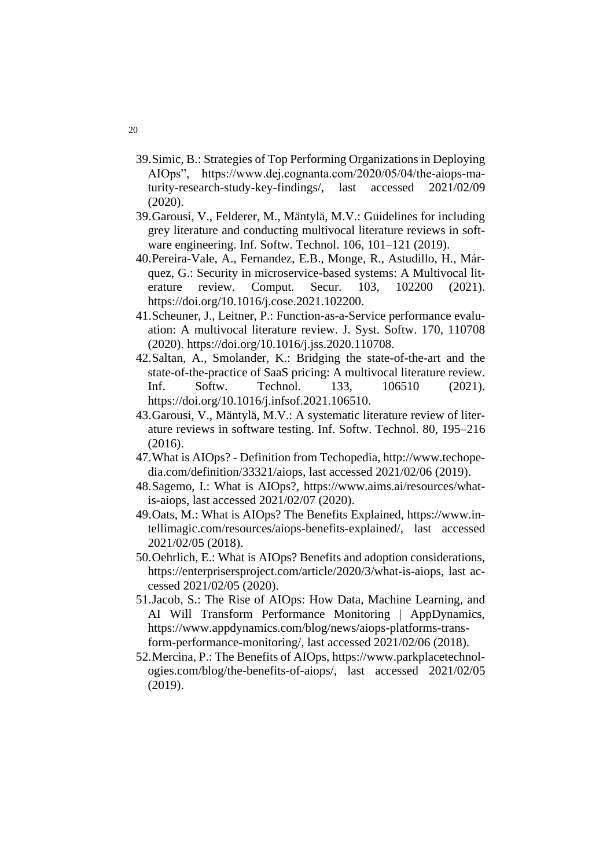- 39.Simic, B.: Strategies of Top Performing Organizations in Deploying AIOps", https://www.dej.cognanta.com/2020/05/04/the-aiops-maturity-research-study-key-findings/, last accessed 2021/02/09 (2020).
- 39.Garousi, V., Felderer, M., Mäntylä, M.V.: Guidelines for including grey literature and conducting multivocal literature reviews in software engineering. Inf. Softw. Technol. 106, 101–121 (2019).
- 40.Pereira-Vale, A., Fernandez, E.B., Monge, R., Astudillo, H., Márquez, G.: Security in microservice-based systems: A Multivocal literature review. Comput. Secur. 103, 102200 (2021). https://doi.org/10.1016/j.cose.2021.102200.
- 41.Scheuner, J., Leitner, P.: Function-as-a-Service performance evaluation: A multivocal literature review. J. Syst. Softw. 170, 110708 (2020). https://doi.org/10.1016/j.jss.2020.110708.
- 42.Saltan, A., Smolander, K.: Bridging the state-of-the-art and the state-of-the-practice of SaaS pricing: A multivocal literature review. Inf. Softw. Technol. 133, 106510 (2021). https://doi.org/10.1016/j.infsof.2021.106510.
- 43.Garousi, V., Mäntylä, M.V.: A systematic literature review of literature reviews in software testing. Inf. Softw. Technol. 80, 195–216 (2016).
- 47.What is AIOps? Definition from Techopedia, http://www.techopedia.com/definition/33321/aiops, last accessed 2021/02/06 (2019).
- 48.Sagemo, I.: What is AIOps?, https://www.aims.ai/resources/whatis-aiops, last accessed 2021/02/07 (2020).
- 49.Oats, M.: What is AIOps? The Benefits Explained, https://www.intellimagic.com/resources/aiops-benefits-explained/, last accessed 2021/02/05 (2018).
- 50.Oehrlich, E.: What is AIOps? Benefits and adoption considerations, https://enterprisersproject.com/article/2020/3/what-is-aiops, last accessed 2021/02/05 (2020).
- 51.Jacob, S.: The Rise of AIOps: How Data, Machine Learning, and AI Will Transform Performance Monitoring | AppDynamics, https://www.appdynamics.com/blog/news/aiops-platforms-transform-performance-monitoring/, last accessed 2021/02/06 (2018).
- 52.Mercina, P.: The Benefits of AIOps, https://www.parkplacetechnologies.com/blog/the-benefits-of-aiops/, last accessed 2021/02/05 (2019).

20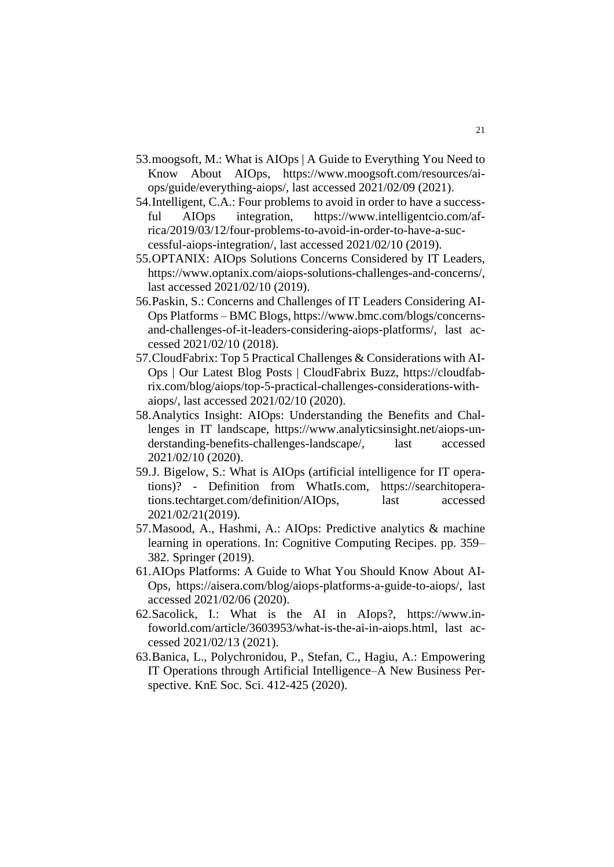- 53.moogsoft, M.: What is AIOps | A Guide to Everything You Need to Know About AIOps, https://www.moogsoft.com/resources/aiops/guide/everything-aiops/, last accessed 2021/02/09 (2021).
- 54.Intelligent, C.A.: Four problems to avoid in order to have a successful AIOps integration, https://www.intelligentcio.com/africa/2019/03/12/four-problems-to-avoid-in-order-to-have-a-successful-aiops-integration/, last accessed 2021/02/10 (2019).
- 55.OPTANIX: AIOps Solutions Concerns Considered by IT Leaders, https://www.optanix.com/aiops-solutions-challenges-and-concerns/, last accessed 2021/02/10 (2019).
- 56.Paskin, S.: Concerns and Challenges of IT Leaders Considering AI-Ops Platforms – BMC Blogs, https://www.bmc.com/blogs/concernsand-challenges-of-it-leaders-considering-aiops-platforms/, last accessed 2021/02/10 (2018).
- 57.CloudFabrix: Top 5 Practical Challenges & Considerations with AI-Ops | Our Latest Blog Posts | CloudFabrix Buzz, https://cloudfabrix.com/blog/aiops/top-5-practical-challenges-considerations-withaiops/, last accessed 2021/02/10 (2020).
- 58.Analytics Insight: AIOps: Understanding the Benefits and Challenges in IT landscape, https://www.analyticsinsight.net/aiops-understanding-benefits-challenges-landscape/, last accessed 2021/02/10 (2020).
- 59.J. Bigelow, S.: What is AIOps (artificial intelligence for IT operations)? - Definition from WhatIs.com, https://searchitoperations.techtarget.com/definition/AIOps, last accessed 2021/02/21(2019).
- 57.Masood, A., Hashmi, A.: AIOps: Predictive analytics & machine learning in operations. In: Cognitive Computing Recipes. pp. 359– 382. Springer (2019).
- 61.AIOps Platforms: A Guide to What You Should Know About AI-Ops, https://aisera.com/blog/aiops-platforms-a-guide-to-aiops/, last accessed 2021/02/06 (2020).
- 62.Sacolick, I.: What is the AI in AIops?, https://www.infoworld.com/article/3603953/what-is-the-ai-in-aiops.html, last accessed 2021/02/13 (2021).
- 63.Banica, L., Polychronidou, P., Stefan, C., Hagiu, A.: Empowering IT Operations through Artificial Intelligence–A New Business Perspective. KnE Soc. Sci. 412-425 (2020).